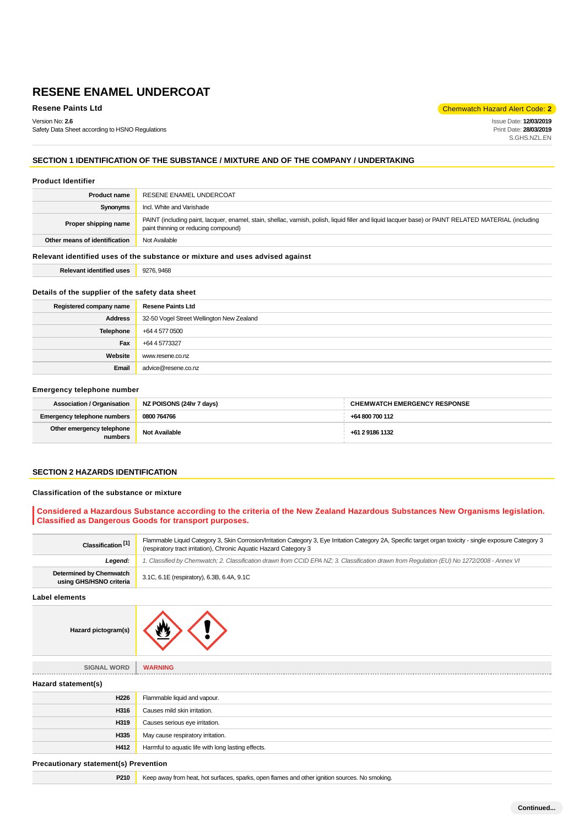**Resene Paints Ltd** Code: **2 Chemwatch Hazard Alert Code: 2** 

Version No: **2.6** Safety Data Sheet according to HSNO Regulations Issue Date: **12/03/2019** Print Date: **28/03/2019** S.GHS.NZL.EN

# **SECTION 1 IDENTIFICATION OF THE SUBSTANCE / MIXTURE AND OF THE COMPANY / UNDERTAKING**

#### **Product Identifier**

| <b>Product name</b>                                                           | RESENE ENAMEL UNDERCOAT                                                                                                                                                                       |  |  |  |
|-------------------------------------------------------------------------------|-----------------------------------------------------------------------------------------------------------------------------------------------------------------------------------------------|--|--|--|
| Synonyms                                                                      | Incl. White and Varishade                                                                                                                                                                     |  |  |  |
| Proper shipping name                                                          | PAINT (including paint, lacquer, enamel, stain, shellac, varnish, polish, liquid filler and liquid lacquer base) or PAINT RELATED MATERIAL (including<br>paint thinning or reducing compound) |  |  |  |
| Other means of identification                                                 | Not Available                                                                                                                                                                                 |  |  |  |
| Relevant identified uses of the substance or mixture and uses advised against |                                                                                                                                                                                               |  |  |  |
| <b>Relevant identified uses</b>                                               | 9276, 9468                                                                                                                                                                                    |  |  |  |

# **Details of the supplier of the safety data sheet**

| Registered company name | <b>Resene Paints Ltd</b>                  |  |
|-------------------------|-------------------------------------------|--|
| <b>Address</b>          | 32-50 Vogel Street Wellington New Zealand |  |
| Telephone               | +64 4 577 0500                            |  |
| Fax                     | +64 4 5773327                             |  |
| Website                 | www.resene.co.nz                          |  |
| Email                   | advice@resene.co.nz                       |  |

#### **Emergency telephone number**

| <b>Association / Organisation</b>    | NZ POISONS (24hr 7 days) | <b>CHEMWATCH EMERGENCY RESPONSE</b> |  |
|--------------------------------------|--------------------------|-------------------------------------|--|
| <b>Emergency telephone numbers</b>   | 0800 764766              | +64 800 700 112                     |  |
| Other emergency telephone<br>numbers | Not Available            | +61 2 9186 1132                     |  |

#### **SECTION 2 HAZARDS IDENTIFICATION**

#### **Classification of the substance or mixture**

### **Considered a Hazardous Substance according to the criteria of the New Zealand Hazardous Substances New Organisms legislation. Classified as Dangerous Goods for transport purposes.**

| Classification <sup>[1]</sup>                      | Flammable Liquid Category 3, Skin Corrosion/Irritation Category 3, Eye Irritation Category 2A, Specific target organ toxicity - single exposure Category 3<br>(respiratory tract irritation), Chronic Aquatic Hazard Category 3 |  |  |  |
|----------------------------------------------------|---------------------------------------------------------------------------------------------------------------------------------------------------------------------------------------------------------------------------------|--|--|--|
| Leaend:                                            | 1. Classified by Chemwatch; 2. Classification drawn from CCID EPA NZ; 3. Classification drawn from Requlation (EU) No 1272/2008 - Annex VI                                                                                      |  |  |  |
| Determined by Chemwatch<br>using GHS/HSNO criteria | 3.1C, 6.1E (respiratory), 6.3B, 6.4A, 9.1C                                                                                                                                                                                      |  |  |  |

#### **Label elements**



| <b>SIGNAL WORD</b>  | <b>WARNING</b>                                     |  |  |  |  |
|---------------------|----------------------------------------------------|--|--|--|--|
| Hazard statement(s) |                                                    |  |  |  |  |
| H226                | Flammable liquid and vapour.                       |  |  |  |  |
| H316                | Causes mild skin irritation.                       |  |  |  |  |
| H319                | Causes serious eye irritation.                     |  |  |  |  |
| H335                | May cause respiratory irritation.                  |  |  |  |  |
| H412                | Harmful to aquatic life with long lasting effects. |  |  |  |  |
|                     |                                                    |  |  |  |  |

#### **Precautionary statement(s) Prevention**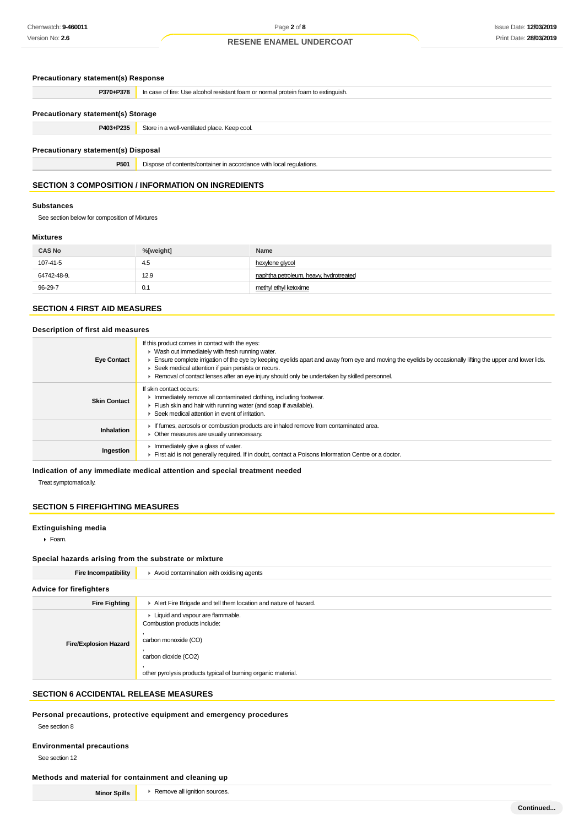#### **Precautionary statement(s) Response**

| P370+P378                                  | In case of fire: Use alcohol resistant foam or normal protein foam to extinguish. |  |  |  |  |  |
|--------------------------------------------|-----------------------------------------------------------------------------------|--|--|--|--|--|
|                                            |                                                                                   |  |  |  |  |  |
| <b>Precautionary statement(s) Storage</b>  |                                                                                   |  |  |  |  |  |
| P403+P235                                  | Store in a well-ventilated place. Keep cool.                                      |  |  |  |  |  |
|                                            |                                                                                   |  |  |  |  |  |
| <b>Precautionary statement(s) Disposal</b> |                                                                                   |  |  |  |  |  |
| P501                                       | Dispose of contents/container in accordance with local regulations.               |  |  |  |  |  |

# **SECTION 3 COMPOSITION / INFORMATION ON INGREDIENTS**

#### **Substances**

See section below for composition of Mixtures

#### **Mixtures**

| <b>CAS No</b> | %[weight] | Name                                   |
|---------------|-----------|----------------------------------------|
| 107-41-5      | -4.5      | hexylene glycol                        |
| 64742-48-9.   | 12.9      | naphtha petroleum, heavy, hydrotreated |
| 96-29-7       | 0.1       | methyl ethyl ketoxime                  |

# **SECTION 4 FIRST AID MEASURES**

#### **Description of first aid measures**

| <b>Eye Contact</b>  | If this product comes in contact with the eyes:<br>$\triangleright$ Wash out immediately with fresh running water.<br>Ensure complete irrigation of the eye by keeping eyelids apart and away from eye and moving the eyelids by occasionally lifting the upper and lower lids.<br>▶ Seek medical attention if pain persists or recurs.<br>► Removal of contact lenses after an eye injury should only be undertaken by skilled personnel. |
|---------------------|--------------------------------------------------------------------------------------------------------------------------------------------------------------------------------------------------------------------------------------------------------------------------------------------------------------------------------------------------------------------------------------------------------------------------------------------|
| <b>Skin Contact</b> | If skin contact occurs:<br>Immediately remove all contaminated clothing, including footwear.<br>Flush skin and hair with running water (and soap if available).<br>▶ Seek medical attention in event of irritation.                                                                                                                                                                                                                        |
| <b>Inhalation</b>   | If fumes, aerosols or combustion products are inhaled remove from contaminated area.<br>• Other measures are usually unnecessary.                                                                                                                                                                                                                                                                                                          |
| Ingestion           | Immediately give a glass of water.<br>First aid is not generally required. If in doubt, contact a Poisons Information Centre or a doctor.                                                                                                                                                                                                                                                                                                  |

#### **Indication of any immediate medical attention and special treatment needed**

Treat symptomatically.

#### **SECTION 5 FIREFIGHTING MEASURES**

#### **Extinguishing media**

Foam.

#### **Special hazards arising from the substrate or mixture**

| <b>Fire Incompatibility</b>    | $\blacktriangleright$ Avoid contamination with oxidising agents                                                                                                                     |  |  |  |
|--------------------------------|-------------------------------------------------------------------------------------------------------------------------------------------------------------------------------------|--|--|--|
| <b>Advice for firefighters</b> |                                                                                                                                                                                     |  |  |  |
| <b>Fire Fighting</b>           | Alert Fire Brigade and tell them location and nature of hazard.                                                                                                                     |  |  |  |
| <b>Fire/Explosion Hazard</b>   | • Liquid and vapour are flammable.<br>Combustion products include:<br>carbon monoxide (CO)<br>carbon dioxide (CO2)<br>other pyrolysis products typical of burning organic material. |  |  |  |

# **SECTION 6 ACCIDENTAL RELEASE MEASURES**

#### **Personal precautions, protective equipment and emergency procedures**

See section 8

### **Environmental precautions**

See section 12

### **Methods and material for containment and cleaning up**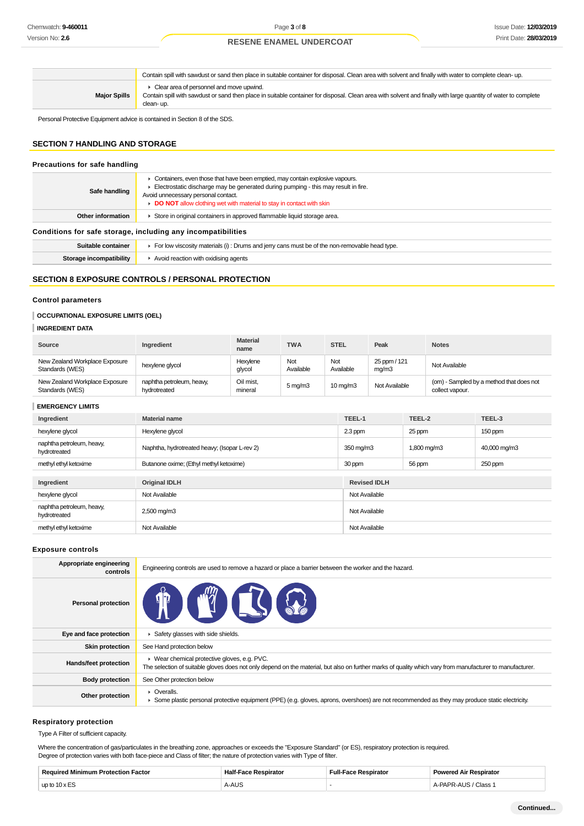|                     | Contain spill with sawdust or sand then place in suitable container for disposal. Clean area with solvent and finally with water to complete clean-up.                                                                   |
|---------------------|--------------------------------------------------------------------------------------------------------------------------------------------------------------------------------------------------------------------------|
| <b>Major Spills</b> | Clear area of personnel and move upwind.<br>Contain spill with sawdust or sand then place in suitable container for disposal. Clean area with solvent and finally with large quantity of water to complete<br>clean- up. |

Personal Protective Equipment advice is contained in Section 8 of the SDS.

# **SECTION 7 HANDLING AND STORAGE**

# **Precautions for safe handling Safe handling** Containers, even those that have been emptied, may contain explosive vapours. Electrostatic discharge may be generated during pumping - this may result in fire. Avoid unnecessary personal contact. **DO NOT** allow clothing wet with material to stay in contact with skin Other information **Fig. 3** Store in original containers in approved flammable liquid storage area. **Conditions for safe storage, including any incompatibilities Suitable container For low viscosity materials (i)**: Drums and jerry cans must be of the non-removable head type. **Storage incompatibility F** Avoid reaction with oxidising agents

## **SECTION 8 EXPOSURE CONTROLS / PERSONAL PROTECTION**

#### **Control parameters**

#### **OCCUPATIONAL EXPOSURE LIMITS (OEL)**

### **INGREDIENT DATA**

| Source                                            | Ingredient                                | <b>Material</b><br>name | <b>TWA</b>          | <b>STEL</b>       | Peak                  | <b>Notes</b>                                                |
|---------------------------------------------------|-------------------------------------------|-------------------------|---------------------|-------------------|-----------------------|-------------------------------------------------------------|
| New Zealand Workplace Exposure<br>Standards (WES) | hexylene glycol                           | Hexylene<br>glycol      | Not<br>Available    | Not<br>Available  | 25 ppm / 121<br>mq/m3 | Not Available                                               |
| New Zealand Workplace Exposure<br>Standards (WES) | naphtha petroleum, heavy,<br>hydrotreated | Oil mist,<br>mineral    | $5 \,\mathrm{mq/m}$ | $10 \text{ mg/m}$ | Not Available         | (om) - Sampled by a method that does not<br>collect vapour. |

#### **EMERGENCY LIMITS**

|                                           | Ingredient            | TEEL-1<br><b>Material name</b><br>Hexylene glycol<br>$2.3$ ppm |               | TEEL-2      | TEEL-3       |
|-------------------------------------------|-----------------------|----------------------------------------------------------------|---------------|-------------|--------------|
|                                           | hexylene glycol       |                                                                |               | 25 ppm      | 150 ppm      |
| naphtha petroleum, heavy,<br>hydrotreated |                       | Naphtha, hydrotreated heavy; (Isopar L-rev 2)                  | 350 mg/m3     | 1,800 mg/m3 | 40,000 mg/m3 |
|                                           | methyl ethyl ketoxime | Butanone oxime; (Ethyl methyl ketoxime)                        | 30 ppm        |             | 250 ppm      |
|                                           |                       |                                                                |               |             |              |
|                                           | Ingredient            | <b>Original IDLH</b><br><b>Revised IDLH</b>                    |               |             |              |
|                                           | hexylene glycol       | Not Available                                                  | Not Available |             |              |
| naphtha petroleum, heavy,<br>hydrotreated |                       | 2,500 mg/m3                                                    | Not Available |             |              |
|                                           | methyl ethyl ketoxime | Not Available                                                  | Not Available |             |              |

#### **Exposure controls**

| Appropriate engineering<br>controls | Engineering controls are used to remove a hazard or place a barrier between the worker and the hazard.                                                                                                    |
|-------------------------------------|-----------------------------------------------------------------------------------------------------------------------------------------------------------------------------------------------------------|
| <b>Personal protection</b>          | <b>ACTIONS</b>                                                                                                                                                                                            |
| Eye and face protection             | Safety glasses with side shields.                                                                                                                                                                         |
| <b>Skin protection</b>              | See Hand protection below                                                                                                                                                                                 |
| Hands/feet protection               | ▶ Wear chemical protective gloves, e.g. PVC.<br>The selection of suitable gloves does not only depend on the material, but also on further marks of quality which vary from manufacturer to manufacturer. |
| <b>Body protection</b>              | See Other protection below                                                                                                                                                                                |
| Other protection                    | • Overalls.<br>• Some plastic personal protective equipment (PPE) (e.g. gloves, aprons, overshoes) are not recommended as they may produce static electricity.                                            |

#### **Respiratory protection**

Type A Filter of sufficient capacity.

Where the concentration of gas/particulates in the breathing zone, approaches or exceeds the "Exposure Standard" (or ES), respiratory protection is required. Degree of protection varies with both face-piece and Class of filter; the nature of protection varies with Type of filter.

| Require<br>Factor<br>'rotection | spirator<br>па       | Full-<br>. | <b>Dowards</b><br>Respirator<br><b>A</b> ., |
|---------------------------------|----------------------|------------|---------------------------------------------|
| 10 x E<br>up to                 | <b>ALLO</b><br>A-AUS |            | Class                                       |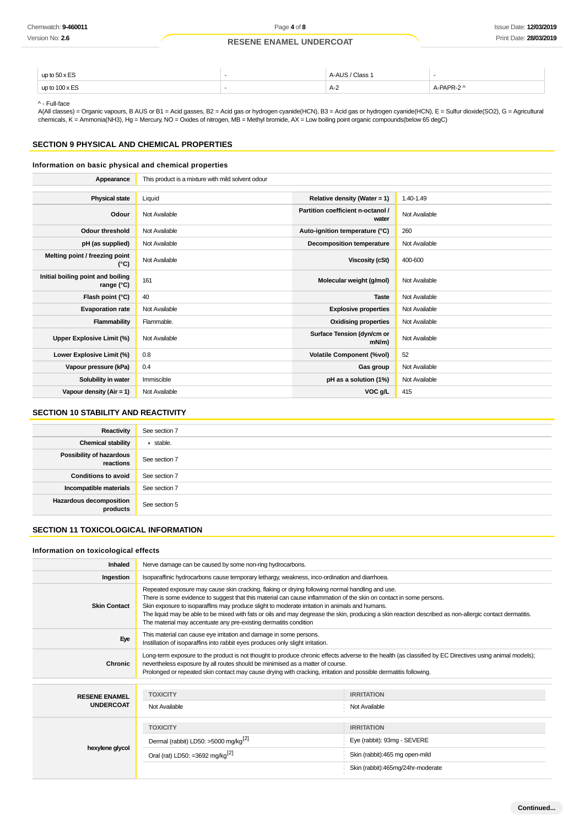| $-$<br>$-$<br>up to $50x$<br>$\sim$ $\sim$ | Class<br>. | - |
|--------------------------------------------|------------|---|
| up to $100 \times ES$<br>$\sim$            | A-2        |   |

^ - Full-face

A(All classes) = Organic vapours, B AUS or B1 = Acid gasses, B2 = Acid gas or hydrogen cyanide(HCN), B3 = Acid gas or hydrogen cyanide(HCN), E = Sulfur dioxide(SO2), G = Agricultural chemicals, K = Ammonia(NH3), Hg = Mercury, NO = Oxides of nitrogen, MB = Methyl bromide, AX = Low boiling point organic compounds(below 65 degC)

# **SECTION 9 PHYSICAL AND CHEMICAL PROPERTIES**

## **Information on basic physical and chemical properties**

| Appearance                                      | This product is a mixture with mild solvent odour |                                            |               |
|-------------------------------------------------|---------------------------------------------------|--------------------------------------------|---------------|
|                                                 |                                                   |                                            |               |
| <b>Physical state</b>                           | Liquid                                            | Relative density (Water = $1$ )            | 1.40-1.49     |
| Odour                                           | Not Available                                     | Partition coefficient n-octanol /<br>water | Not Available |
| <b>Odour threshold</b>                          | Not Available                                     | Auto-ignition temperature (°C)             | 260           |
| pH (as supplied)                                | Not Available                                     | Decomposition temperature                  | Not Available |
| Melting point / freezing point<br>(°C)          | Not Available                                     | <b>Viscosity (cSt)</b>                     | 400-600       |
| Initial boiling point and boiling<br>range (°C) | 161                                               | Molecular weight (g/mol)                   | Not Available |
| Flash point (°C)                                | 40                                                | <b>Taste</b>                               | Not Available |
| <b>Evaporation rate</b>                         | Not Available                                     | <b>Explosive properties</b>                | Not Available |
| Flammability                                    | Flammable.                                        | <b>Oxidising properties</b>                | Not Available |
| Upper Explosive Limit (%)                       | Not Available                                     | Surface Tension (dyn/cm or<br>$mN/m$ )     | Not Available |
| Lower Explosive Limit (%)                       | 0.8                                               | <b>Volatile Component (%vol)</b>           | 52            |
| Vapour pressure (kPa)                           | 0.4                                               | Gas group                                  | Not Available |
| Solubility in water                             | Immiscible                                        | pH as a solution (1%)                      | Not Available |
| Vapour density ( $Air = 1$ )                    | Not Available                                     | VOC g/L                                    | 415           |

## **SECTION 10 STABILITY AND REACTIVITY**

| Reactivity                                 | See section 7   |
|--------------------------------------------|-----------------|
| <b>Chemical stability</b>                  | $\cdot$ stable. |
| Possibility of hazardous<br>reactions      | See section 7   |
| <b>Conditions to avoid</b>                 | See section 7   |
| Incompatible materials                     | See section 7   |
| <b>Hazardous decomposition</b><br>products | See section 5   |

## **SECTION 11 TOXICOLOGICAL INFORMATION**

#### **Information on toxicological effects**

| <b>Inhaled</b>       | Nerve damage can be caused by some non-ring hydrocarbons.                                                                                                                                                                                                                                                                                                                                                                                                                                                                                                |                             |  |
|----------------------|----------------------------------------------------------------------------------------------------------------------------------------------------------------------------------------------------------------------------------------------------------------------------------------------------------------------------------------------------------------------------------------------------------------------------------------------------------------------------------------------------------------------------------------------------------|-----------------------------|--|
| Ingestion            | Isoparaffinic hydrocarbons cause temporary lethargy, weakness, inco-ordination and diarrhoea.                                                                                                                                                                                                                                                                                                                                                                                                                                                            |                             |  |
| <b>Skin Contact</b>  | Repeated exposure may cause skin cracking, flaking or drying following normal handling and use.<br>There is some evidence to suggest that this material can cause inflammation of the skin on contact in some persons.<br>Skin exposure to isoparaffins may produce slight to moderate irritation in animals and humans.<br>The liquid may be able to be mixed with fats or oils and may degrease the skin, producing a skin reaction described as non-allergic contact dermatitis.<br>The material may accentuate any pre-existing dermatitis condition |                             |  |
| Eye                  | This material can cause eye irritation and damage in some persons.<br>Instillation of isoparaffins into rabbit eyes produces only slight irritation.                                                                                                                                                                                                                                                                                                                                                                                                     |                             |  |
| Chronic              | Long-term exposure to the product is not thought to produce chronic effects adverse to the health (as classified by EC Directives using animal models);<br>nevertheless exposure by all routes should be minimised as a matter of course.<br>Prolonged or repeated skin contact may cause drying with cracking, irritation and possible dermatitis following.                                                                                                                                                                                            |                             |  |
|                      |                                                                                                                                                                                                                                                                                                                                                                                                                                                                                                                                                          |                             |  |
| <b>RESENE ENAMEL</b> | <b>TOXICITY</b>                                                                                                                                                                                                                                                                                                                                                                                                                                                                                                                                          | <b>IRRITATION</b>           |  |
| <b>UNDERCOAT</b>     | Not Available                                                                                                                                                                                                                                                                                                                                                                                                                                                                                                                                            | Not Available               |  |
|                      |                                                                                                                                                                                                                                                                                                                                                                                                                                                                                                                                                          |                             |  |
|                      | <b>TOXICITY</b>                                                                                                                                                                                                                                                                                                                                                                                                                                                                                                                                          | <b>IRRITATION</b>           |  |
|                      | Dermal (rabbit) LD50: >5000 mg/kg <sup>[2]</sup>                                                                                                                                                                                                                                                                                                                                                                                                                                                                                                         | Eye (rabbit): 93mg - SEVERE |  |
| hexylene glycol      |                                                                                                                                                                                                                                                                                                                                                                                                                                                                                                                                                          |                             |  |

Oral (rat) LD50: =3692 mg/kg<sup>[2]</sup> Skin (rabbit):465 mg open-mild

Skin (rabbit):465mg/24hr-moderate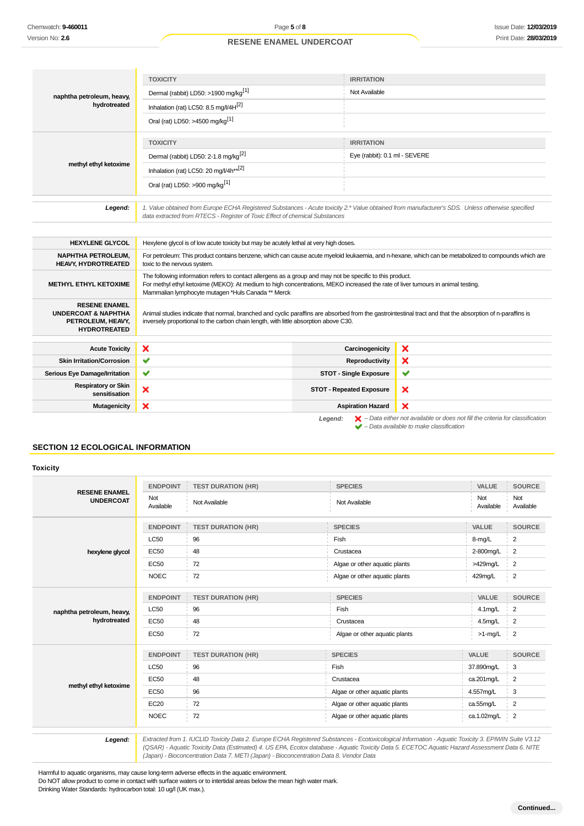|                                                                                                    | <b>TOXICITY</b>                                                                                                                                                                                                                                                                                    | <b>IRRITATION</b>               |   |
|----------------------------------------------------------------------------------------------------|----------------------------------------------------------------------------------------------------------------------------------------------------------------------------------------------------------------------------------------------------------------------------------------------------|---------------------------------|---|
| naphtha petroleum, heavy,                                                                          | Dermal (rabbit) LD50: >1900 mg/kg <sup>[1]</sup>                                                                                                                                                                                                                                                   | Not Available                   |   |
| hydrotreated                                                                                       | Inhalation (rat) LC50: 8.5 mg/l/4H <sup>[2]</sup>                                                                                                                                                                                                                                                  |                                 |   |
|                                                                                                    | Oral (rat) LD50: >4500 mg/kg <sup>[1]</sup>                                                                                                                                                                                                                                                        |                                 |   |
|                                                                                                    | <b>TOXICITY</b>                                                                                                                                                                                                                                                                                    | <b>IRRITATION</b>               |   |
|                                                                                                    | Dermal (rabbit) LD50: 2-1.8 mg/kg <sup>[2]</sup>                                                                                                                                                                                                                                                   | Eye (rabbit): 0.1 ml - SEVERE   |   |
| methyl ethyl ketoxime                                                                              | Inhalation (rat) LC50: 20 mg/l/4h** $^{[2]}$                                                                                                                                                                                                                                                       |                                 |   |
|                                                                                                    | Oral (rat) LD50: >900 mg/kg <sup>[1]</sup>                                                                                                                                                                                                                                                         |                                 |   |
| Legend:                                                                                            | 1. Value obtained from Europe ECHA Registered Substances - Acute toxicity 2.* Value obtained from manufacturer's SDS. Unless otherwise specified<br>data extracted from RTECS - Register of Toxic Effect of chemical Substances                                                                    |                                 |   |
| <b>HEXYLENE GLYCOL</b>                                                                             | Hexylene glycol is of low acute toxicity but may be acutely lethal at very high doses.                                                                                                                                                                                                             |                                 |   |
| <b>NAPHTHA PETROLEUM,</b><br>HEAVY, HYDROTREATED                                                   | For petroleum: This product contains benzene, which can cause acute myeloid leukaemia, and n-hexane, which can be metabolized to compounds which are<br>toxic to the nervous system.                                                                                                               |                                 |   |
| <b>METHYL ETHYL KETOXIME</b>                                                                       | The following information refers to contact allergens as a group and may not be specific to this product.<br>For methyl ethyl ketoxime (MEKO): At medium to high concentrations, MEKO increased the rate of liver tumours in animal testing.<br>Mammalian lymphocyte mutagen *Huls Canada ** Merck |                                 |   |
| <b>RESENE ENAMEL</b><br><b>UNDERCOAT &amp; NAPHTHA</b><br>PETROLEUM, HEAVY,<br><b>HYDROTREATED</b> | Animal studies indicate that normal, branched and cyclic paraffins are absorbed from the gastrointestinal tract and that the absorption of n-paraffins is<br>inversely proportional to the carbon chain length, with little absorption above C30.                                                  |                                 |   |
| <b>Acute Toxicity</b>                                                                              | ×                                                                                                                                                                                                                                                                                                  | Carcinogenicity                 | × |
| <b>Skin Irritation/Corrosion</b>                                                                   | $\checkmark$                                                                                                                                                                                                                                                                                       | Reproductivity                  | × |
| Serious Eye Damage/Irritation                                                                      | ✔                                                                                                                                                                                                                                                                                                  | <b>STOT - Single Exposure</b>   | ✔ |
| <b>Respiratory or Skin</b><br>sensitisation                                                        | ×                                                                                                                                                                                                                                                                                                  | <b>STOT - Repeated Exposure</b> | × |

**Mutagenicity X** Aspiration Hazard

# **SECTION 12 ECOLOGICAL INFORMATION**

#### **Toxicity**

|                                          | <b>ENDPOINT</b>  | <b>TEST DURATION (HR)</b> | <b>SPECIES</b>                | VALUE            | <b>SOURCE</b>    |
|------------------------------------------|------------------|---------------------------|-------------------------------|------------------|------------------|
| <b>RESENE ENAMEL</b><br><b>UNDERCOAT</b> | Not<br>Available | Not Available             | Not Available                 | Not<br>Available | Not<br>Available |
|                                          | <b>ENDPOINT</b>  | <b>TEST DURATION (HR)</b> | <b>SPECIES</b>                | VALUE            | <b>SOURCE</b>    |
|                                          | <b>LC50</b>      | 96                        | Fish                          | 8-mg/L           | $\overline{2}$   |
| hexylene glycol                          | <b>EC50</b>      | 48                        | Crustacea                     | 2-800mg/L        | $\overline{2}$   |
|                                          | <b>EC50</b>      | 72                        | Algae or other aquatic plants | >429mg/L         | 2                |
|                                          | <b>NOEC</b>      | 72                        | Algae or other aquatic plants | 429mg/L          | $\boldsymbol{2}$ |
|                                          | <b>ENDPOINT</b>  | <b>TEST DURATION (HR)</b> | <b>SPECIES</b>                | VALUE            | <b>SOURCE</b>    |
| naphtha petroleum, heavy,                | <b>LC50</b>      | 96                        | Fish                          | 4.1mg/L          | 2                |
| hydrotreated                             | <b>EC50</b>      | 48                        | Crustacea                     | 4.5mg/L          | $\overline{2}$   |
|                                          | <b>EC50</b>      | 72                        | Algae or other aquatic plants | $>1$ -mg/L       | $\frac{1}{2}$    |
|                                          | <b>ENDPOINT</b>  | <b>TEST DURATION (HR)</b> | <b>SPECIES</b>                | VALUE            | <b>SOURCE</b>    |
|                                          | <b>LC50</b>      | 96                        | Fish                          | 37.890mg/L       | 3                |
|                                          | <b>EC50</b>      | 48                        | Crustacea                     | ca.201mg/L       | $\overline{2}$   |
| methyl ethyl ketoxime                    | <b>EC50</b>      | 96                        | Algae or other aquatic plants | 4.557mg/L        | 3                |
|                                          | <b>EC20</b>      | 72                        | Algae or other aquatic plants | ca.55mg/L        | 2                |
|                                          | <b>NOEC</b>      | 72                        | Algae or other aquatic plants | ca.1.02mg/L      | $\overline{2}$   |

**Legend:** Extracted from 1. IUCLID Toxicity Data 2. Europe ECHA Registered Substances - Ecotoxicological Information - Aquatic Toxicity 3. EPIWIN Suite V3.12 (QSAR) - Aquatic Toxicity Data (Estimated) 4. US EPA, Ecotox database - Aquatic Toxicity Data 5. ECETOC Aquatic Hazard Assessment Data 6. NITE (Japan) - Bioconcentration Data 7. METI (Japan) - Bioconcentration Data 8. Vendor Data

**Legend:**  $\mathbf{X}$  – Data either not available or does not fill the criteria for classification

 $\blacktriangleright$  – Data available to make classification

 $\boldsymbol{\mathsf{x}}$ 

Harmful to aquatic organisms, may cause long-term adverse effects in the aquatic environment. Do NOT allow product to come in contact with surface waters or to intertidal areas below the mean high water mark. Drinking Water Standards: hydrocarbon total: 10 ug/l (UK max.).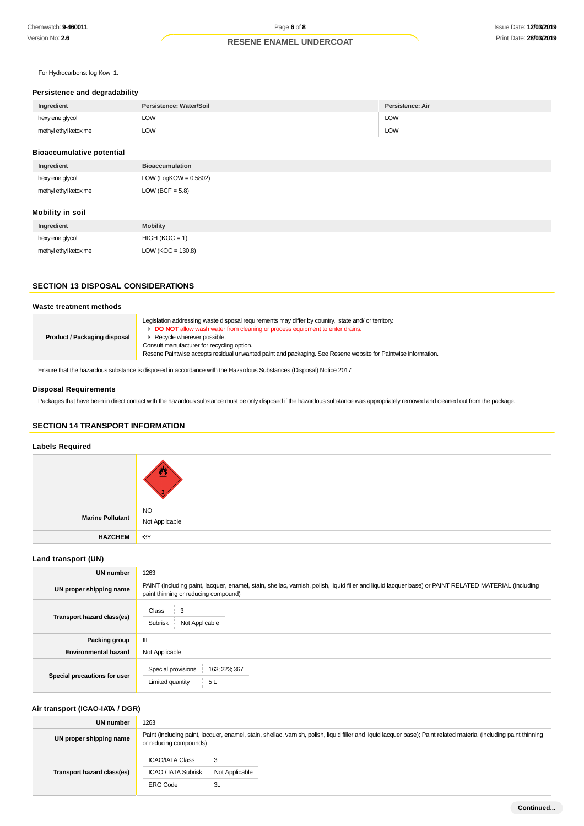For Hydrocarbons: log Kow 1.

## **Persistence and degradability**

| Ingredient            | Persistence: Water/Soil | Persistence: Air |
|-----------------------|-------------------------|------------------|
| hexylene glycol       | LOW                     | <b>LOW</b>       |
| methyl ethyl ketoxime | LOW                     | <b>LOW</b>       |

## **Bioaccumulative potential**

| Ingredient            | <b>Bioaccumulation</b>   |
|-----------------------|--------------------------|
| hexylene glycol       | LOW (LogKOW = $0.5802$ ) |
| methyl ethyl ketoxime | LOW (BCF = $5.8$ )       |

## **Mobility in soil**

| Ingredient            | <b>Mobility</b>       |
|-----------------------|-----------------------|
| hexylene glycol       | $HIGH (KOC = 1)$      |
| methyl ethyl ketoxime | LOW ( $KOC = 130.8$ ) |

# **SECTION 13 DISPOSAL CONSIDERATIONS**

# **Waste treatment methods**

| <b>Product / Packaging disposal</b> | Legislation addressing waste disposal requirements may differ by country, state and/ or territory.<br>DO NOT allow wash water from cleaning or process equipment to enter drains.<br>Recycle wherever possible.<br>Consult manufacturer for recycling option.<br>Resene Paintwise accepts residual unwanted paint and packaging. See Resene website for Paintwise information. |
|-------------------------------------|--------------------------------------------------------------------------------------------------------------------------------------------------------------------------------------------------------------------------------------------------------------------------------------------------------------------------------------------------------------------------------|
|-------------------------------------|--------------------------------------------------------------------------------------------------------------------------------------------------------------------------------------------------------------------------------------------------------------------------------------------------------------------------------------------------------------------------------|

Ensure that the hazardous substance is disposed in accordance with the Hazardous Substances (Disposal) Notice 2017

# **Disposal Requirements**

Packages that have been in direct contact with the hazardous substance must be only disposed if the hazardous substance was appropriately removed and cleaned out from the package.

# **SECTION 14 TRANSPORT INFORMATION**

# **Labels Required**

| Marine Pollutant NO<br>Not Applicable |       |
|---------------------------------------|-------|
| <b>HAZCHEM</b>                        | $-3Y$ |

#### **Land transport (UN)**

| <b>UN number</b>             | 1263                                                                                                                                                                                          |  |
|------------------------------|-----------------------------------------------------------------------------------------------------------------------------------------------------------------------------------------------|--|
| UN proper shipping name      | PAINT (including paint, lacquer, enamel, stain, shellac, varnish, polish, liquid filler and liquid lacquer base) or PAINT RELATED MATERIAL (including<br>paint thinning or reducing compound) |  |
| Transport hazard class(es)   | Class<br>3<br>Not Applicable<br>Subrisk                                                                                                                                                       |  |
| Packing group                | Ш                                                                                                                                                                                             |  |
| <b>Environmental hazard</b>  | Not Applicable                                                                                                                                                                                |  |
| Special precautions for user | Special provisions<br>163; 223; 367<br>5L<br>Limited quantity                                                                                                                                 |  |

## **Air transport (ICAO-IATA / DGR)**

| UN number                  | 1263                                                                                                                                                                                         |  |
|----------------------------|----------------------------------------------------------------------------------------------------------------------------------------------------------------------------------------------|--|
| UN proper shipping name    | Paint (including paint, lacquer, enamel, stain, shellac, varnish, polish, liquid filler and liquid lacquer base); Paint related material (including paint thinning<br>or reducing compounds) |  |
| Transport hazard class(es) | <b>ICAO/IATA Class</b><br>3<br>ICAO / IATA Subrisk<br>Not Applicable<br><b>ERG Code</b><br>3L                                                                                                |  |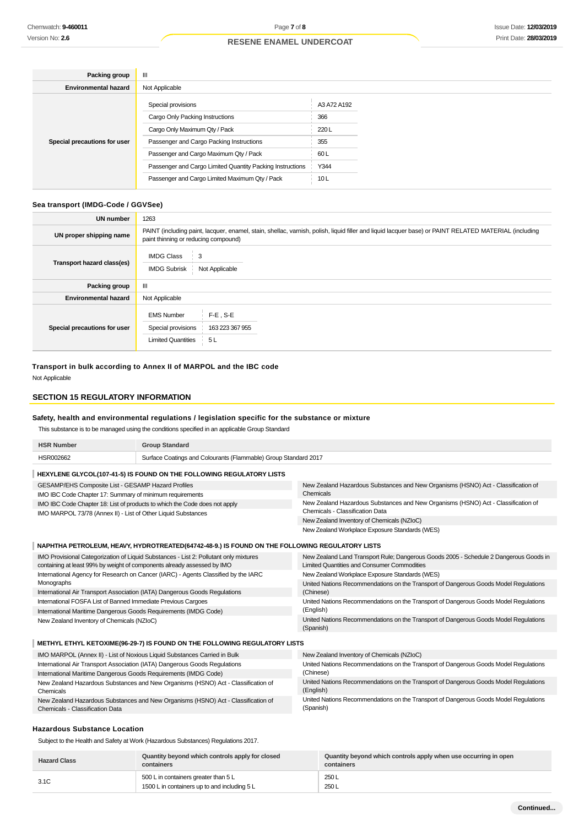| Packing group                | $\mathbf{III}$                                            |             |
|------------------------------|-----------------------------------------------------------|-------------|
| <b>Environmental hazard</b>  | Not Applicable                                            |             |
|                              | Special provisions                                        | A3 A72 A192 |
|                              | Cargo Only Packing Instructions                           | 366         |
|                              | Cargo Only Maximum Qty / Pack                             | 220L        |
| Special precautions for user | Passenger and Cargo Packing Instructions                  | 355         |
|                              | Passenger and Cargo Maximum Qty / Pack                    | 60L         |
|                              | Passenger and Cargo Limited Quantity Packing Instructions | Y344        |
|                              | Passenger and Cargo Limited Maximum Qty / Pack            | 10L         |

## **Sea transport (IMDG-Code / GGVSee)**

| UN number                    | 1263                                                                                                                                                                                          |  |
|------------------------------|-----------------------------------------------------------------------------------------------------------------------------------------------------------------------------------------------|--|
| UN proper shipping name      | PAINT (including paint, lacquer, enamel, stain, shellac, varnish, polish, liquid filler and liquid lacquer base) or PAINT RELATED MATERIAL (including<br>paint thinning or reducing compound) |  |
| Transport hazard class(es)   | <b>IMDG Class</b><br>3<br><b>IMDG Subrisk</b><br>Not Applicable                                                                                                                               |  |
| Packing group                | Ш                                                                                                                                                                                             |  |
| <b>Environmental hazard</b>  | Not Applicable                                                                                                                                                                                |  |
| Special precautions for user | F-E, S-E<br><b>EMS Number</b><br>Special provisions<br>163 223 367 955<br><b>Limited Quantities</b><br>5L                                                                                     |  |

**Transport in bulk according to Annex II of MARPOL and the IBC code** Not Applicable

### **SECTION 15 REGULATORY INFORMATION**

## **Safety, health and environmental regulations / legislation specific for the substance or mixture**

This substance is to be managed using the conditions specified in an applicable Group Standard

| <b>HSR Number</b><br><b>Group Standard</b>                                                                                                                       |  |                                                                                                                                             |
|------------------------------------------------------------------------------------------------------------------------------------------------------------------|--|---------------------------------------------------------------------------------------------------------------------------------------------|
| Surface Coatings and Colourants (Flammable) Group Standard 2017<br>HSR002662                                                                                     |  |                                                                                                                                             |
| HEXYLENE GLYCOL(107-41-5) IS FOUND ON THE FOLLOWING REGULATORY LISTS                                                                                             |  |                                                                                                                                             |
| GESAMP/EHS Composite List - GESAMP Hazard Profiles<br>IMO IBC Code Chapter 17: Summary of minimum requirements                                                   |  | New Zealand Hazardous Substances and New Organisms (HSNO) Act - Classification of<br>Chemicals                                              |
| IMO IBC Code Chapter 18: List of products to which the Code does not apply<br>IMO MARPOL 73/78 (Annex II) - List of Other Liquid Substances                      |  | New Zealand Hazardous Substances and New Organisms (HSNO) Act - Classification of<br>Chemicals - Classification Data                        |
|                                                                                                                                                                  |  | New Zealand Inventory of Chemicals (NZIoC)                                                                                                  |
|                                                                                                                                                                  |  | New Zealand Workplace Exposure Standards (WES)                                                                                              |
| NAPHTHA PETROLEUM, HEAVY, HYDROTREATED(64742-48-9.) IS FOUND ON THE FOLLOWING REGULATORY LISTS                                                                   |  |                                                                                                                                             |
| IMO Provisional Categorization of Liquid Substances - List 2: Pollutant only mixtures<br>containing at least 99% by weight of components already assessed by IMO |  | New Zealand Land Transport Rule; Dangerous Goods 2005 - Schedule 2 Dangerous Goods in<br><b>Limited Quantities and Consumer Commodities</b> |
| International Agency for Research on Cancer (IARC) - Agents Classified by the IARC                                                                               |  | New Zealand Workplace Exposure Standards (WES)                                                                                              |
| Monographs                                                                                                                                                       |  | United Nations Recommendations on the Transport of Dangerous Goods Model Regulations                                                        |
| International Air Transport Association (IATA) Dangerous Goods Regulations                                                                                       |  | (Chinese)                                                                                                                                   |
| International FOSFA List of Banned Immediate Previous Cargoes                                                                                                    |  | United Nations Recommendations on the Transport of Dangerous Goods Model Regulations<br>(English)                                           |
| International Maritime Dangerous Goods Requirements (IMDG Code)                                                                                                  |  |                                                                                                                                             |
| New Zealand Inventory of Chemicals (NZIoC)                                                                                                                       |  | United Nations Recommendations on the Transport of Dangerous Goods Model Regulations<br>(Spanish)                                           |
| METHYL ETHYL KETOXIME(96-29-7) IS FOUND ON THE FOLLOWING REGULATORY LISTS                                                                                        |  |                                                                                                                                             |
| IMO MARPOL (Annex II) - List of Noxious Liquid Substances Carried in Bulk                                                                                        |  | New Zealand Inventory of Chemicals (NZIoC)                                                                                                  |
| International Air Transport Association (IATA) Dangerous Goods Regulations                                                                                       |  | United Nations Recommendations on the Transport of Dangerous Goods Model Regulations                                                        |
| International Maritime Dangerous Goods Requirements (IMDG Code)                                                                                                  |  | (Chinese)                                                                                                                                   |
| New Zealand Hazardous Substances and New Organisms (HSNO) Act - Classification of<br>Chemicals                                                                   |  | United Nations Recommendations on the Transport of Dangerous Goods Model Regulations<br>(English)                                           |

New Zealand Hazardous Substances and New Organisms (HSNO) Act - Classification of Chemicals - Classification Data

#### **Hazardous Substance Location**

Subject to the Health and Safety at Work (Hazardous Substances) Regulations 2017.

| <b>Hazard Class</b> | Quantity beyond which controls apply for closed<br>containers                        | Quantity beyond which controls apply when use occurring in open<br>containers |
|---------------------|--------------------------------------------------------------------------------------|-------------------------------------------------------------------------------|
| 3.1C                | 500 L in containers greater than 5 L<br>1500 L in containers up to and including 5 L | 250 L<br>250L                                                                 |

(Spanish)

United Nations Recommendations on the Transport of Dangerous Goods Model Regulations